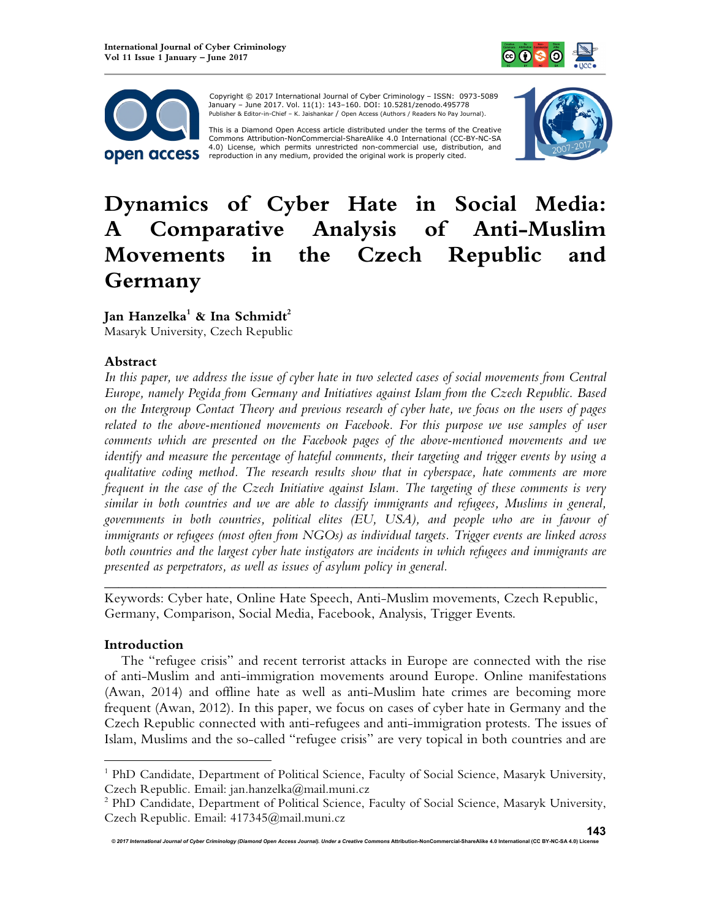



 Copyright © 2017 International Journal of Cyber Criminology – ISSN: 0973-5089 January – June 2017. Vol. 11(1): 143–160. DOI: 10.5281/zenodo.495778 Publisher & Editor-in-Chief – K. Jaishankar / Open Access (Authors / Readers No Pay Journal).

This is a Diamond Open Access article distributed under the terms of the Creative<br>Commons Attribution-NonCommercial-ShareAlike 4.0 International (CC-BY-NC-SA 4.0) License, which permits unrestricted non-commercial use, distribution, and reproduction in any medium, provided the original work is properly cited.



# **Dynamics of Cyber Hate in Social Media: A Comparative Analysis of Anti-Muslim Movements in the Czech Republic and Germany**

**Jan Hanzelka<sup>1</sup> & Ina Schmidt<sup>2</sup>**

Masaryk University, Czech Republic

## **Abstract**

In this paper, we address the issue of cyber hate in two selected cases of social movements from Central *Europe, namely Pegida from Germany and Initiatives against Islam from the Czech Republic. Based on the Intergroup Contact Theory and previous research of cyber hate, we focus on the users of pages related to the above-mentioned movements on Facebook. For this purpose we use samples of user comments which are presented on the Facebook pages of the above-mentioned movements and we identify and measure the percentage of hateful comments, their targeting and trigger events by using a qualitative coding method. The research results show that in cyberspace, hate comments are more frequent in the case of the Czech Initiative against Islam. The targeting of these comments is very similar in both countries and we are able to classify immigrants and refugees, Muslims in general, governments in both countries, political elites (EU, USA), and people who are in favour of immigrants or refugees (most often from NGOs) as individual targets. Trigger events are linked across both countries and the largest cyber hate instigators are incidents in which refugees and immigrants are presented as perpetrators, as well as issues of asylum policy in general.*

Keywords: Cyber hate, Online Hate Speech, Anti-Muslim movements, Czech Republic, Germany, Comparison, Social Media, Facebook, Analysis, Trigger Events.

*\_\_\_\_\_\_\_\_\_\_\_\_\_\_\_\_\_\_\_\_\_\_\_\_\_\_\_\_\_\_\_\_\_\_\_\_\_\_\_\_\_\_\_\_\_\_\_\_\_\_\_\_\_\_\_\_\_\_\_\_\_\_\_\_\_\_\_\_\_\_\_\_* 

## **Introduction**

 $\overline{a}$ 

The "refugee crisis" and recent terrorist attacks in Europe are connected with the rise of anti-Muslim and anti-immigration movements around Europe. Online manifestations (Awan, 2014) and offline hate as well as anti-Muslim hate crimes are becoming more frequent (Awan, 2012). In this paper, we focus on cases of cyber hate in Germany and the Czech Republic connected with anti-refugees and anti-immigration protests. The issues of Islam, Muslims and the so-called "refugee crisis" are very topical in both countries and are

<sup>&</sup>lt;sup>1</sup> PhD Candidate, Department of Political Science, Faculty of Social Science, Masaryk University, Czech Republic. Email: jan.hanzelka@mail.muni.cz

<sup>&</sup>lt;sup>2</sup> PhD Candidate, Department of Political Science, Faculty of Social Science, Masaryk University, Czech Republic. Email: 417345@mail.muni.cz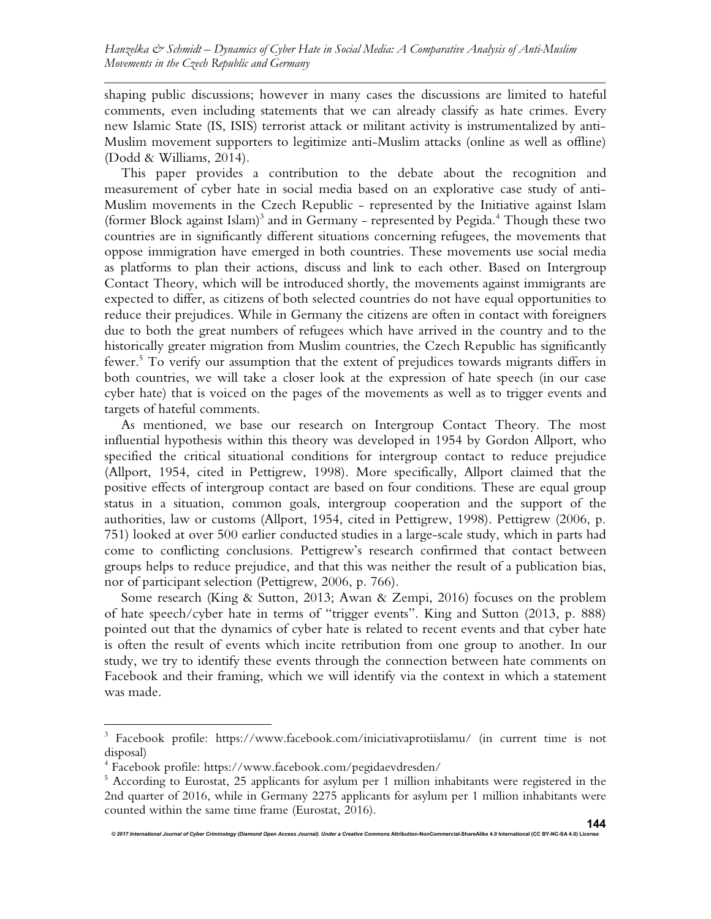shaping public discussions; however in many cases the discussions are limited to hateful comments, even including statements that we can already classify as hate crimes. Every new Islamic State (IS, ISIS) terrorist attack or militant activity is instrumentalized by anti-Muslim movement supporters to legitimize anti-Muslim attacks (online as well as offline) (Dodd & Williams, 2014).

This paper provides a contribution to the debate about the recognition and measurement of cyber hate in social media based on an explorative case study of anti-Muslim movements in the Czech Republic - represented by the Initiative against Islam (former Block against Islam)<sup>3</sup> and in Germany - represented by Pegida.<sup>4</sup> Though these two countries are in significantly different situations concerning refugees, the movements that oppose immigration have emerged in both countries. These movements use social media as platforms to plan their actions, discuss and link to each other. Based on Intergroup Contact Theory, which will be introduced shortly, the movements against immigrants are expected to differ, as citizens of both selected countries do not have equal opportunities to reduce their prejudices. While in Germany the citizens are often in contact with foreigners due to both the great numbers of refugees which have arrived in the country and to the historically greater migration from Muslim countries, the Czech Republic has significantly fewer. 5 To verify our assumption that the extent of prejudices towards migrants differs in both countries, we will take a closer look at the expression of hate speech (in our case cyber hate) that is voiced on the pages of the movements as well as to trigger events and targets of hateful comments.

As mentioned, we base our research on Intergroup Contact Theory. The most influential hypothesis within this theory was developed in 1954 by Gordon Allport, who specified the critical situational conditions for intergroup contact to reduce prejudice (Allport, 1954, cited in Pettigrew, 1998). More specifically, Allport claimed that the positive effects of intergroup contact are based on four conditions. These are equal group status in a situation, common goals, intergroup cooperation and the support of the authorities, law or customs (Allport, 1954, cited in Pettigrew, 1998). Pettigrew (2006, p. 751) looked at over 500 earlier conducted studies in a large-scale study, which in parts had come to conflicting conclusions. Pettigrew's research confirmed that contact between groups helps to reduce prejudice, and that this was neither the result of a publication bias, nor of participant selection (Pettigrew, 2006, p. 766).

Some research (King & Sutton, 2013; Awan & Zempi, 2016) focuses on the problem of hate speech/cyber hate in terms of "trigger events". King and Sutton (2013, p. 888) pointed out that the dynamics of cyber hate is related to recent events and that cyber hate is often the result of events which incite retribution from one group to another. In our study, we try to identify these events through the connection between hate comments on Facebook and their framing, which we will identify via the context in which a statement was made.

 $\overline{a}$ 

<sup>&</sup>lt;sup>3</sup> Facebook profile: https://www.facebook.com/iniciativaprotiislamu/ (in current time is not disposal)

<sup>4</sup> Facebook profile: https://www.facebook.com/pegidaevdresden/

<sup>&</sup>lt;sup>5</sup> According to Eurostat, 25 applicants for asylum per 1 million inhabitants were registered in the 2nd quarter of 2016, while in Germany 2275 applicants for asylum per 1 million inhabitants were counted within the same time frame (Eurostat, 2016).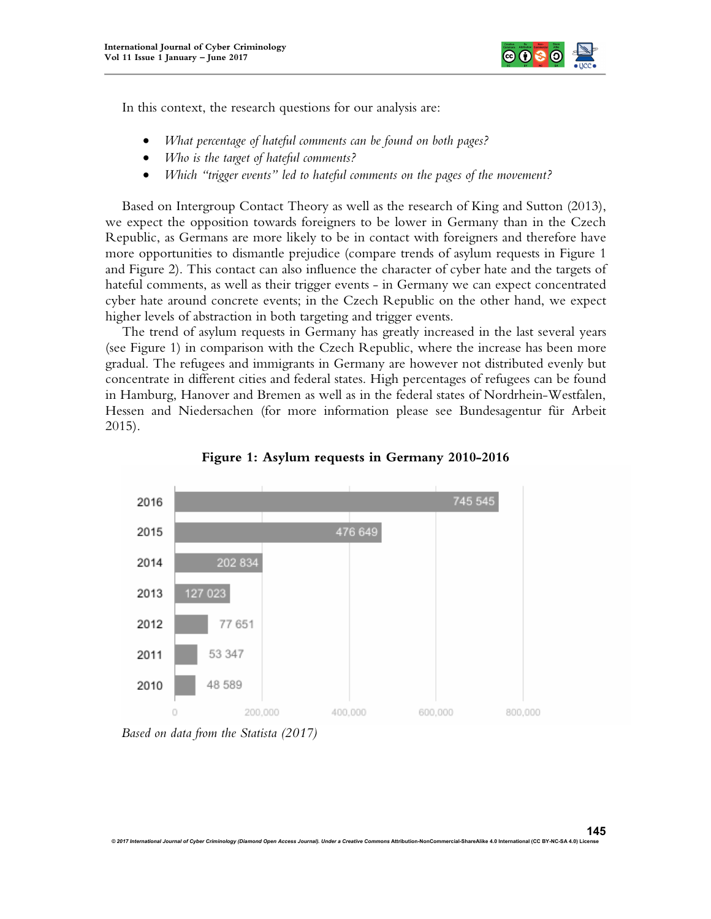

In this context, the research questions for our analysis are:

- *What percentage of hateful comments can be found on both pages?*
- *Who is the target of hateful comments?*
- *Which "trigger events" led to hateful comments on the pages of the movement?*

Based on Intergroup Contact Theory as well as the research of King and Sutton (2013), we expect the opposition towards foreigners to be lower in Germany than in the Czech Republic, as Germans are more likely to be in contact with foreigners and therefore have more opportunities to dismantle prejudice (compare trends of asylum requests in Figure 1 and Figure 2). This contact can also influence the character of cyber hate and the targets of hateful comments, as well as their trigger events - in Germany we can expect concentrated cyber hate around concrete events; in the Czech Republic on the other hand, we expect higher levels of abstraction in both targeting and trigger events.

The trend of asylum requests in Germany has greatly increased in the last several years (see Figure 1) in comparison with the Czech Republic, where the increase has been more gradual. The refugees and immigrants in Germany are however not distributed evenly but concentrate in different cities and federal states. High percentages of refugees can be found in Hamburg, Hanover and Bremen as well as in the federal states of Nordrhein-Westfalen, Hessen and Niedersachen (for more information please see Bundesagentur für Arbeit 2015).



**Figure 1: Asylum requests in Germany 2010-2016**

*Based on data from the Statista (2017)*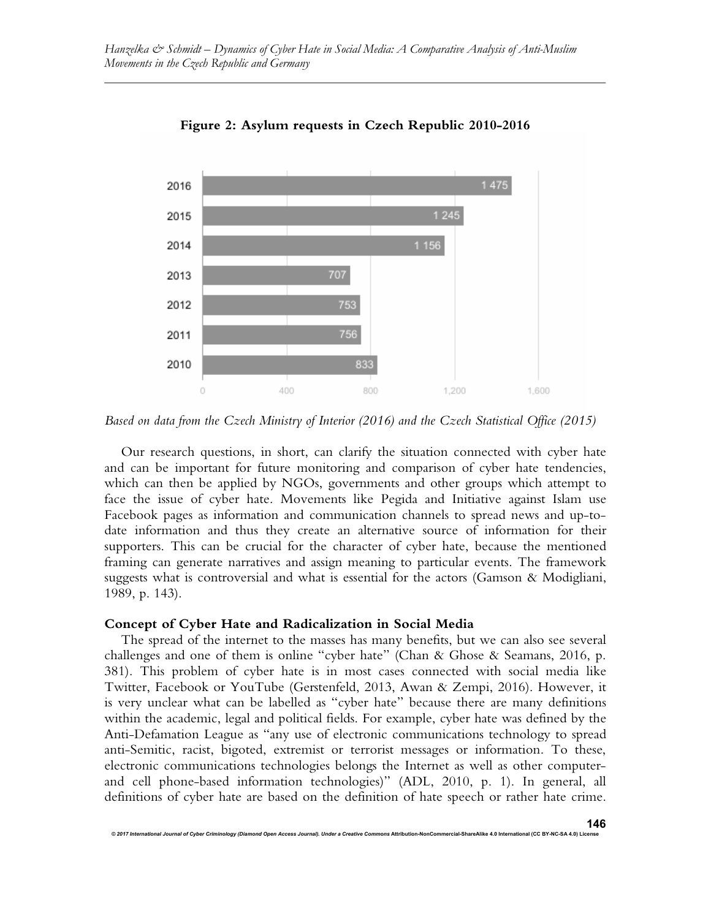

**Figure 2: Asylum requests in Czech Republic 2010-2016**

*Based on data from the Czech Ministry of Interior (2016) and the Czech Statistical Office (2015)*

Our research questions, in short, can clarify the situation connected with cyber hate and can be important for future monitoring and comparison of cyber hate tendencies, which can then be applied by NGOs, governments and other groups which attempt to face the issue of cyber hate. Movements like Pegida and Initiative against Islam use Facebook pages as information and communication channels to spread news and up-todate information and thus they create an alternative source of information for their supporters. This can be crucial for the character of cyber hate, because the mentioned framing can generate narratives and assign meaning to particular events. The framework suggests what is controversial and what is essential for the actors (Gamson & Modigliani, 1989, p. 143).

#### **Concept of Cyber Hate and Radicalization in Social Media**

*© 2017 International Journal of Cyber Criminology (Diamond Open Access Journal). Under a Creative Commons* **Attribution-NonCommercial-ShareAlike 4.0 International (CC BY-NC-SA 4.0) License**

The spread of the internet to the masses has many benefits, but we can also see several challenges and one of them is online "cyber hate" (Chan & Ghose & Seamans, 2016, p. 381). This problem of cyber hate is in most cases connected with social media like Twitter, Facebook or YouTube (Gerstenfeld, 2013, Awan & Zempi, 2016). However, it is very unclear what can be labelled as "cyber hate" because there are many definitions within the academic, legal and political fields. For example, cyber hate was defined by the Anti-Defamation League as "any use of electronic communications technology to spread anti-Semitic, racist, bigoted, extremist or terrorist messages or information. To these, electronic communications technologies belongs the Internet as well as other computerand cell phone-based information technologies)" (ADL, 2010, p. 1). In general, all definitions of cyber hate are based on the definition of hate speech or rather hate crime.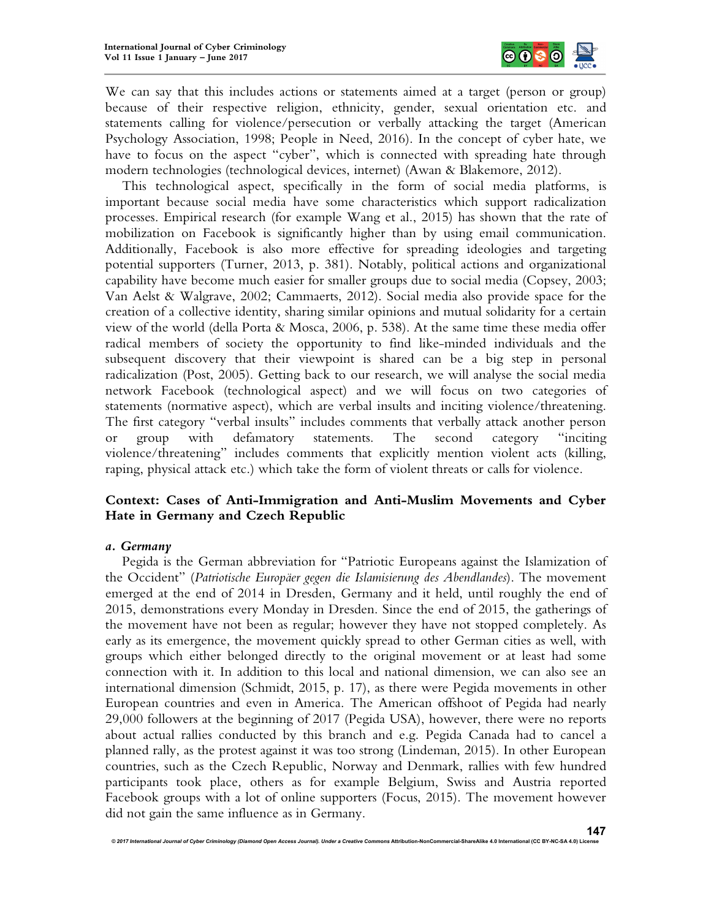

We can say that this includes actions or statements aimed at a target (person or group) because of their respective religion, ethnicity, gender, sexual orientation etc. and statements calling for violence/persecution or verbally attacking the target (American Psychology Association, 1998; People in Need, 2016). In the concept of cyber hate, we have to focus on the aspect "cyber", which is connected with spreading hate through modern technologies (technological devices, internet) (Awan & Blakemore, 2012).

This technological aspect, specifically in the form of social media platforms, is important because social media have some characteristics which support radicalization processes. Empirical research (for example Wang et al., 2015) has shown that the rate of mobilization on Facebook is significantly higher than by using email communication. Additionally, Facebook is also more effective for spreading ideologies and targeting potential supporters (Turner, 2013, p. 381). Notably, political actions and organizational capability have become much easier for smaller groups due to social media (Copsey, 2003; Van Aelst & Walgrave, 2002; Cammaerts, 2012). Social media also provide space for the creation of a collective identity, sharing similar opinions and mutual solidarity for a certain view of the world (della Porta & Mosca, 2006, p. 538). At the same time these media offer radical members of society the opportunity to find like-minded individuals and the subsequent discovery that their viewpoint is shared can be a big step in personal radicalization (Post, 2005). Getting back to our research, we will analyse the social media network Facebook (technological aspect) and we will focus on two categories of statements (normative aspect), which are verbal insults and inciting violence/threatening. The first category "verbal insults" includes comments that verbally attack another person or group with defamatory statements. The second category "inciting violence/threatening" includes comments that explicitly mention violent acts (killing, raping, physical attack etc.) which take the form of violent threats or calls for violence.

## **Context: Cases of Anti-Immigration and Anti-Muslim Movements and Cyber Hate in Germany and Czech Republic**

#### *a. Germany*

Pegida is the German abbreviation for "Patriotic Europeans against the Islamization of the Occident" (*Patriotische Europäer gegen die Islamisierung des Abendlandes*). The movement emerged at the end of 2014 in Dresden, Germany and it held, until roughly the end of 2015, demonstrations every Monday in Dresden. Since the end of 2015, the gatherings of the movement have not been as regular; however they have not stopped completely. As early as its emergence, the movement quickly spread to other German cities as well, with groups which either belonged directly to the original movement or at least had some connection with it. In addition to this local and national dimension, we can also see an international dimension (Schmidt, 2015, p. 17), as there were Pegida movements in other European countries and even in America. The American offshoot of Pegida had nearly 29,000 followers at the beginning of 2017 (Pegida USA), however, there were no reports about actual rallies conducted by this branch and e.g. Pegida Canada had to cancel a planned rally, as the protest against it was too strong (Lindeman, 2015). In other European countries, such as the Czech Republic, Norway and Denmark, rallies with few hundred participants took place, others as for example Belgium, Swiss and Austria reported Facebook groups with a lot of online supporters (Focus, 2015). The movement however did not gain the same influence as in Germany.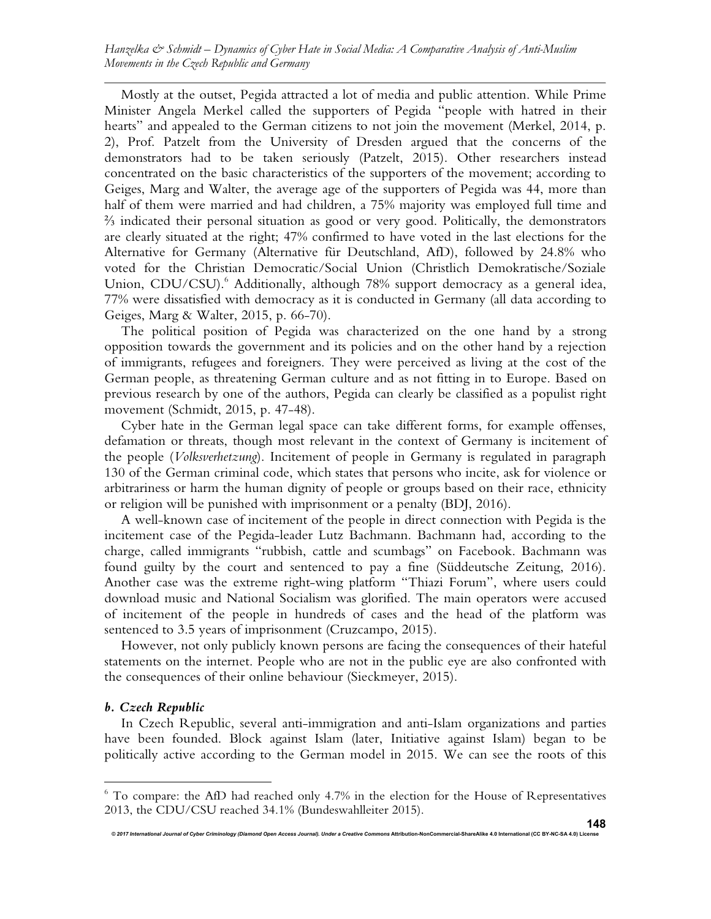Mostly at the outset, Pegida attracted a lot of media and public attention. While Prime Minister Angela Merkel called the supporters of Pegida "people with hatred in their hearts" and appealed to the German citizens to not join the movement (Merkel, 2014, p. 2), Prof. Patzelt from the University of Dresden argued that the concerns of the demonstrators had to be taken seriously (Patzelt, 2015). Other researchers instead concentrated on the basic characteristics of the supporters of the movement; according to Geiges, Marg and Walter, the average age of the supporters of Pegida was 44, more than half of them were married and had children, a 75% majority was employed full time and ⅔ indicated their personal situation as good or very good. Politically, the demonstrators are clearly situated at the right; 47% confirmed to have voted in the last elections for the Alternative for Germany (Alternative für Deutschland, AfD), followed by 24.8% who voted for the Christian Democratic/Social Union (Christlich Demokratische/Soziale Union, CDU/CSU).<sup>6</sup> Additionally, although 78% support democracy as a general idea, 77% were dissatisfied with democracy as it is conducted in Germany (all data according to Geiges, Marg & Walter, 2015, p. 66-70).

The political position of Pegida was characterized on the one hand by a strong opposition towards the government and its policies and on the other hand by a rejection of immigrants, refugees and foreigners. They were perceived as living at the cost of the German people, as threatening German culture and as not fitting in to Europe. Based on previous research by one of the authors, Pegida can clearly be classified as a populist right movement (Schmidt, 2015, p. 47-48).

Cyber hate in the German legal space can take different forms, for example offenses, defamation or threats, though most relevant in the context of Germany is incitement of the people (*Volksverhetzung*). Incitement of people in Germany is regulated in paragraph 130 of the German criminal code, which states that persons who incite, ask for violence or arbitrariness or harm the human dignity of people or groups based on their race, ethnicity or religion will be punished with imprisonment or a penalty (BDJ, 2016).

A well-known case of incitement of the people in direct connection with Pegida is the incitement case of the Pegida-leader Lutz Bachmann. Bachmann had, according to the charge, called immigrants "rubbish, cattle and scumbags" on Facebook. Bachmann was found guilty by the court and sentenced to pay a fine (Süddeutsche Zeitung, 2016). Another case was the extreme right-wing platform "Thiazi Forum", where users could download music and National Socialism was glorified. The main operators were accused of incitement of the people in hundreds of cases and the head of the platform was sentenced to 3.5 years of imprisonment (Cruzcampo, 2015).

However, not only publicly known persons are facing the consequences of their hateful statements on the internet. People who are not in the public eye are also confronted with the consequences of their online behaviour (Sieckmeyer, 2015).

#### *b. Czech Republic*

1

In Czech Republic, several anti-immigration and anti-Islam organizations and parties have been founded. Block against Islam (later, Initiative against Islam) began to be politically active according to the German model in 2015. We can see the roots of this

<sup>&</sup>lt;sup>6</sup> To compare: the AfD had reached only 4.7% in the election for the House of Representatives 2013, the CDU/CSU reached 34.1% (Bundeswahlleiter 2015).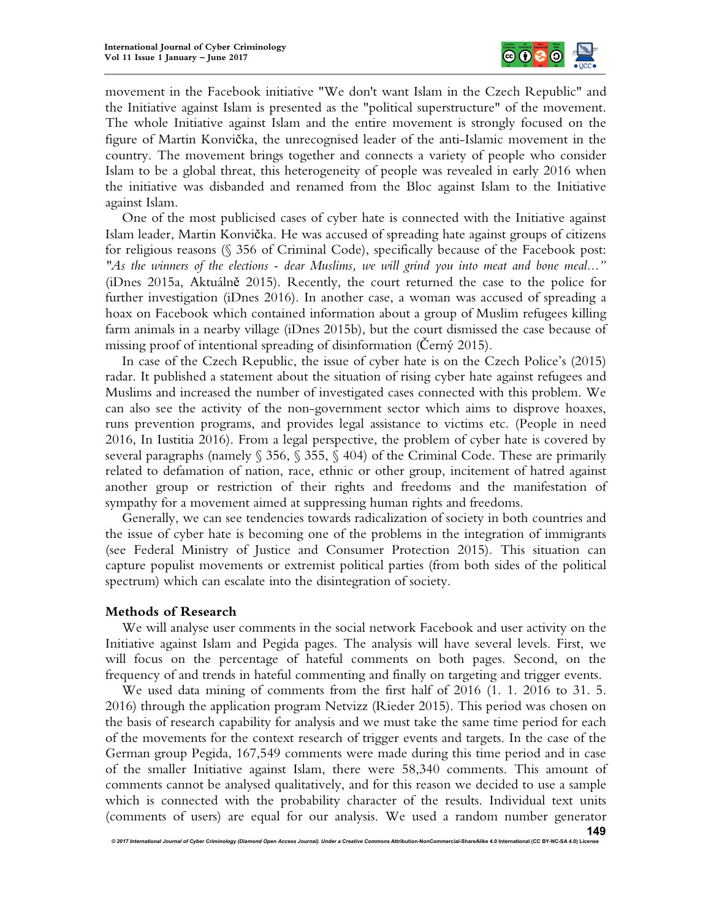

movement in the Facebook initiative "We don't want Islam in the Czech Republic" and the Initiative against Islam is presented as the "political superstructure" of the movement. The whole Initiative against Islam and the entire movement is strongly focused on the figure of Martin Konvička, the unrecognised leader of the anti-Islamic movement in the country. The movement brings together and connects a variety of people who consider Islam to be a global threat, this heterogeneity of people was revealed in early 2016 when the initiative was disbanded and renamed from the Bloc against Islam to the Initiative against Islam.

One of the most publicised cases of cyber hate is connected with the Initiative against Islam leader, Martin Konvička. He was accused of spreading hate against groups of citizens for religious reasons (§ 356 of Criminal Code), specifically because of the Facebook post: *"As the winners of the elections - dear Muslims, we will grind you into meat and bone meal..."* (iDnes 2015a, Aktuálně 2015). Recently, the court returned the case to the police for further investigation (iDnes 2016). In another case, a woman was accused of spreading a hoax on Facebook which contained information about a group of Muslim refugees killing farm animals in a nearby village (iDnes 2015b), but the court dismissed the case because of missing proof of intentional spreading of disinformation (Černý 2015).

In case of the Czech Republic, the issue of cyber hate is on the Czech Police's (2015) radar. It published a statement about the situation of rising cyber hate against refugees and Muslims and increased the number of investigated cases connected with this problem. We can also see the activity of the non-government sector which aims to disprove hoaxes, runs prevention programs, and provides legal assistance to victims etc. (People in need 2016, In Iustitia 2016). From a legal perspective, the problem of cyber hate is covered by several paragraphs (namely  $\S$  356,  $\S$  355,  $\S$  404) of the Criminal Code. These are primarily related to defamation of nation, race, ethnic or other group, incitement of hatred against another group or restriction of their rights and freedoms and the manifestation of sympathy for a movement aimed at suppressing human rights and freedoms.

Generally, we can see tendencies towards radicalization of society in both countries and the issue of cyber hate is becoming one of the problems in the integration of immigrants (see Federal Ministry of Justice and Consumer Protection 2015). This situation can capture populist movements or extremist political parties (from both sides of the political spectrum) which can escalate into the disintegration of society.

#### **Methods of Research**

We will analyse user comments in the social network Facebook and user activity on the Initiative against Islam and Pegida pages. The analysis will have several levels. First, we will focus on the percentage of hateful comments on both pages. Second, on the frequency of and trends in hateful commenting and finally on targeting and trigger events.

We used data mining of comments from the first half of 2016 (1. 1. 2016 to 31. 5. 2016) through the application program Netvizz (Rieder 2015). This period was chosen on the basis of research capability for analysis and we must take the same time period for each of the movements for the context research of trigger events and targets. In the case of the German group Pegida, 167,549 comments were made during this time period and in case of the smaller Initiative against Islam, there were 58,340 comments. This amount of comments cannot be analysed qualitatively, and for this reason we decided to use a sample which is connected with the probability character of the results. Individual text units (comments of users) are equal for our analysis. We used a random number generator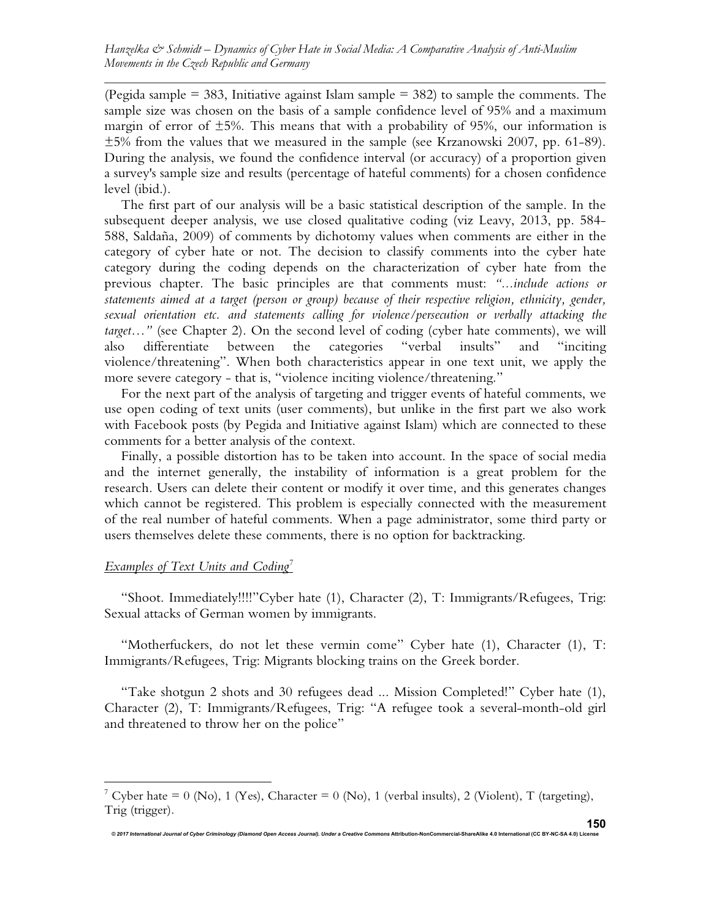(Pegida sample  $= 383$ , Initiative against Islam sample  $= 382$ ) to sample the comments. The sample size was chosen on the basis of a sample confidence level of 95% and a maximum margin of error of  $\pm 5$ %. This means that with a probability of 95%, our information is ±5% from the values that we measured in the sample (see Krzanowski 2007, pp. 61-89). During the analysis, we found the confidence interval (or accuracy) of a proportion given a survey's sample size and results (percentage of hateful comments) for a chosen confidence level (ibid.).

The first part of our analysis will be a basic statistical description of the sample. In the subsequent deeper analysis, we use closed qualitative coding (viz Leavy, 2013, pp. 584- 588, Saldaña, 2009) of comments by dichotomy values when comments are either in the category of cyber hate or not. The decision to classify comments into the cyber hate category during the coding depends on the characterization of cyber hate from the previous chapter. The basic principles are that comments must: *"...include actions or statements aimed at a target (person or group) because of their respective religion, ethnicity, gender, sexual orientation etc. and statements calling for violence/persecution or verbally attacking the target…"* (see Chapter 2). On the second level of coding (cyber hate comments), we will also differentiate between the categories "verbal insults" and "inciting violence/threatening". When both characteristics appear in one text unit, we apply the more severe category - that is, "violence inciting violence/threatening."

For the next part of the analysis of targeting and trigger events of hateful comments, we use open coding of text units (user comments), but unlike in the first part we also work with Facebook posts (by Pegida and Initiative against Islam) which are connected to these comments for a better analysis of the context.

Finally, a possible distortion has to be taken into account. In the space of social media and the internet generally, the instability of information is a great problem for the research. Users can delete their content or modify it over time, and this generates changes which cannot be registered. This problem is especially connected with the measurement of the real number of hateful comments. When a page administrator, some third party or users themselves delete these comments, there is no option for backtracking.

## *Examples of Text Units and Coding<sup>7</sup>*

 $\overline{a}$ 

"Shoot. Immediately!!!!"Cyber hate (1), Character (2), T: Immigrants/Refugees, Trig: Sexual attacks of German women by immigrants.

"Motherfuckers, do not let these vermin come" Cyber hate (1), Character (1), T: Immigrants/Refugees, Trig: Migrants blocking trains on the Greek border.

"Take shotgun 2 shots and 30 refugees dead ... Mission Completed!" Cyber hate (1), Character (2), T: Immigrants/Refugees, Trig: "A refugee took a several-month-old girl and threatened to throw her on the police"

<sup>&</sup>lt;sup>7</sup> Cyber hate = 0 (No), 1 (Yes), Character = 0 (No), 1 (verbal insults), 2 (Violent), T (targeting), Trig (trigger).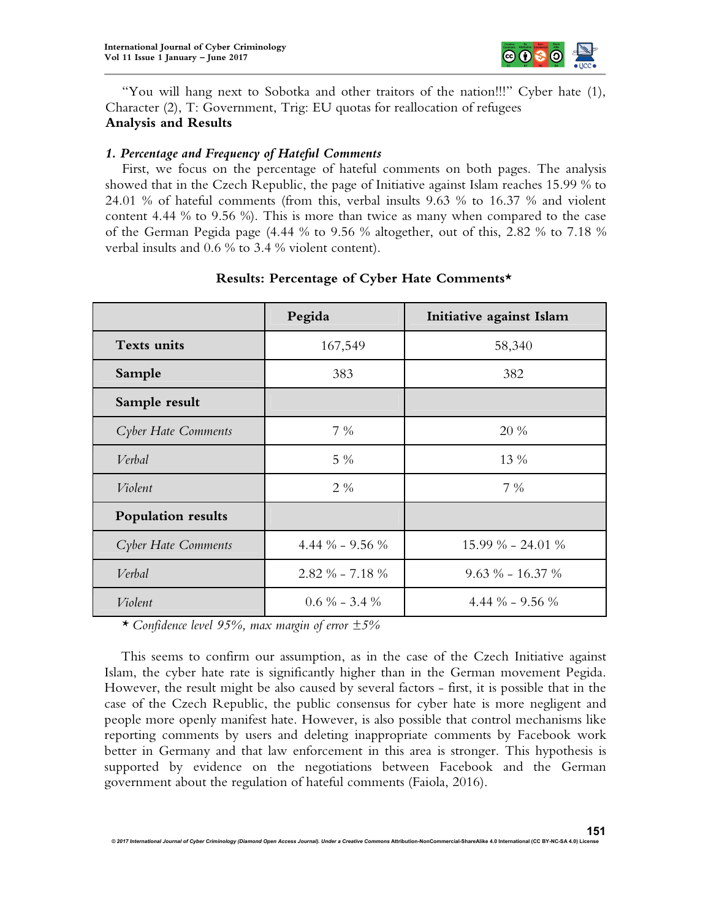

"You will hang next to Sobotka and other traitors of the nation!!!" Cyber hate (1), Character (2), T: Government, Trig: EU quotas for reallocation of refugees **Analysis and Results**

#### *1. Percentage and Frequency of Hateful Comments*

First, we focus on the percentage of hateful comments on both pages. The analysis showed that in the Czech Republic, the page of Initiative against Islam reaches 15.99 % to 24.01 % of hateful comments (from this, verbal insults 9.63 % to 16.37 % and violent content 4.44 % to 9.56 %). This is more than twice as many when compared to the case of the German Pegida page (4.44 % to 9.56 % altogether, out of this, 2.82 % to 7.18 % verbal insults and 0.6 % to 3.4 % violent content).

|                           | Pegida                | Initiative against Islam |
|---------------------------|-----------------------|--------------------------|
| <b>Texts units</b>        | 167,549               | 58,340                   |
| Sample                    | 383                   | 382                      |
| Sample result             |                       |                          |
| Cyber Hate Comments       | $7\%$                 | 20 %                     |
| Verbal                    | $5\%$                 | 13 %                     |
| Violent                   | $2\%$                 | $7\%$                    |
| <b>Population results</b> |                       |                          |
| Cyber Hate Comments       | 4.44 $\%$ – 9.56 $\%$ | 15.99 % - 24.01 %        |
| Verbal                    | $2.82\% - 7.18\%$     | $9.63\% - 16.37\%$       |
| Violent                   | $0.6\% - 3.4\%$       | 4.44 $\%$ – 9.56 $\%$    |

## **Results: Percentage of Cyber Hate Comments\***

*\* Confidence level 95%, max margin of error ±5%*

This seems to confirm our assumption, as in the case of the Czech Initiative against Islam, the cyber hate rate is significantly higher than in the German movement Pegida. However, the result might be also caused by several factors - first, it is possible that in the case of the Czech Republic, the public consensus for cyber hate is more negligent and people more openly manifest hate. However, is also possible that control mechanisms like reporting comments by users and deleting inappropriate comments by Facebook work better in Germany and that law enforcement in this area is stronger. This hypothesis is supported by evidence on the negotiations between Facebook and the German government about the regulation of hateful comments (Faiola, 2016).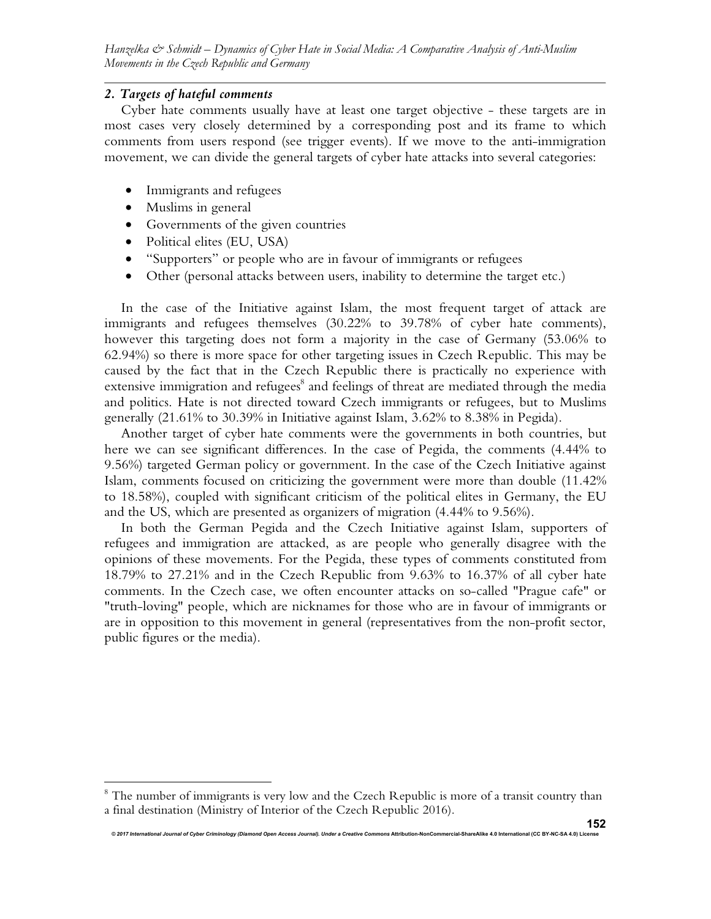## *2. Targets of hateful comments*

Cyber hate comments usually have at least one target objective - these targets are in most cases very closely determined by a corresponding post and its frame to which comments from users respond (see trigger events). If we move to the anti-immigration movement, we can divide the general targets of cyber hate attacks into several categories:

- Immigrants and refugees
- Muslims in general

1

- Governments of the given countries
- Political elites (EU, USA)
- "Supporters" or people who are in favour of immigrants or refugees
- Other (personal attacks between users, inability to determine the target etc.)

In the case of the Initiative against Islam, the most frequent target of attack are immigrants and refugees themselves (30.22% to 39.78% of cyber hate comments), however this targeting does not form a majority in the case of Germany (53.06% to 62.94%) so there is more space for other targeting issues in Czech Republic. This may be caused by the fact that in the Czech Republic there is practically no experience with extensive immigration and refugees<sup>8</sup> and feelings of threat are mediated through the media and politics. Hate is not directed toward Czech immigrants or refugees, but to Muslims generally (21.61% to 30.39% in Initiative against Islam, 3.62% to 8.38% in Pegida).

Another target of cyber hate comments were the governments in both countries, but here we can see significant differences. In the case of Pegida, the comments (4.44% to 9.56%) targeted German policy or government. In the case of the Czech Initiative against Islam, comments focused on criticizing the government were more than double (11.42% to 18.58%), coupled with significant criticism of the political elites in Germany, the EU and the US, which are presented as organizers of migration (4.44% to 9.56%).

In both the German Pegida and the Czech Initiative against Islam, supporters of refugees and immigration are attacked, as are people who generally disagree with the opinions of these movements. For the Pegida, these types of comments constituted from 18.79% to 27.21% and in the Czech Republic from 9.63% to 16.37% of all cyber hate comments. In the Czech case, we often encounter attacks on so-called "Prague cafe" or "truth-loving" people, which are nicknames for those who are in favour of immigrants or are in opposition to this movement in general (representatives from the non-profit sector, public figures or the media).

<sup>&</sup>lt;sup>8</sup> The number of immigrants is very low and the Czech Republic is more of a transit country than a final destination (Ministry of Interior of the Czech Republic 2016).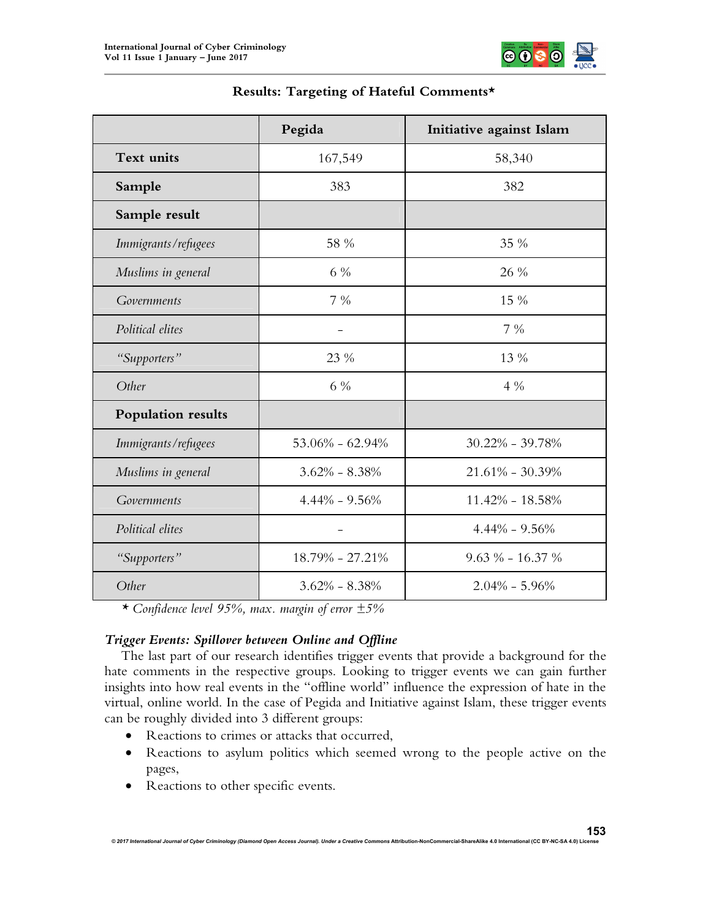

|                     | Pegida              | Initiative against Islam |
|---------------------|---------------------|--------------------------|
| <b>Text units</b>   | 167,549             | 58,340                   |
| Sample              | 383                 | 382                      |
| Sample result       |                     |                          |
| Immigrants/refugees | 58 %                | 35 %                     |
| Muslims in general  | $6\%$               | 26 %                     |
| Governments         | $7\%$               | 15 %                     |
| Political elites    |                     | $7\%$                    |
| "Supporters"        | 23 %                | 13 %                     |
| Other               | 6 %                 | $4\%$                    |
| Population results  |                     |                          |
| Immigrants/refugees | $53.06\% - 62.94\%$ | $30.22\% - 39.78\%$      |
| Muslims in general  | $3.62\% - 8.38\%$   | $21.61\% - 30.39\%$      |
| Governments         | $4.44\% - 9.56\%$   | $11.42\% - 18.58\%$      |
| Political elites    |                     | $4.44\% - 9.56\%$        |
| "Supporters"        | 18.79% - 27.21%     | $9.63\% - 16.37\%$       |
| Other               | $3.62\% - 8.38\%$   | $2.04\% - 5.96\%$        |

## **Results: Targeting of Hateful Comments\***

*\* Confidence level 95%, max. margin of error ±5%*

## *Trigger Events: Spillover between Online and Offline*

The last part of our research identifies trigger events that provide a background for the hate comments in the respective groups. Looking to trigger events we can gain further insights into how real events in the "offline world" influence the expression of hate in the virtual, online world. In the case of Pegida and Initiative against Islam, these trigger events can be roughly divided into 3 different groups:

- Reactions to crimes or attacks that occurred,
- Reactions to asylum politics which seemed wrong to the people active on the pages,
- Reactions to other specific events.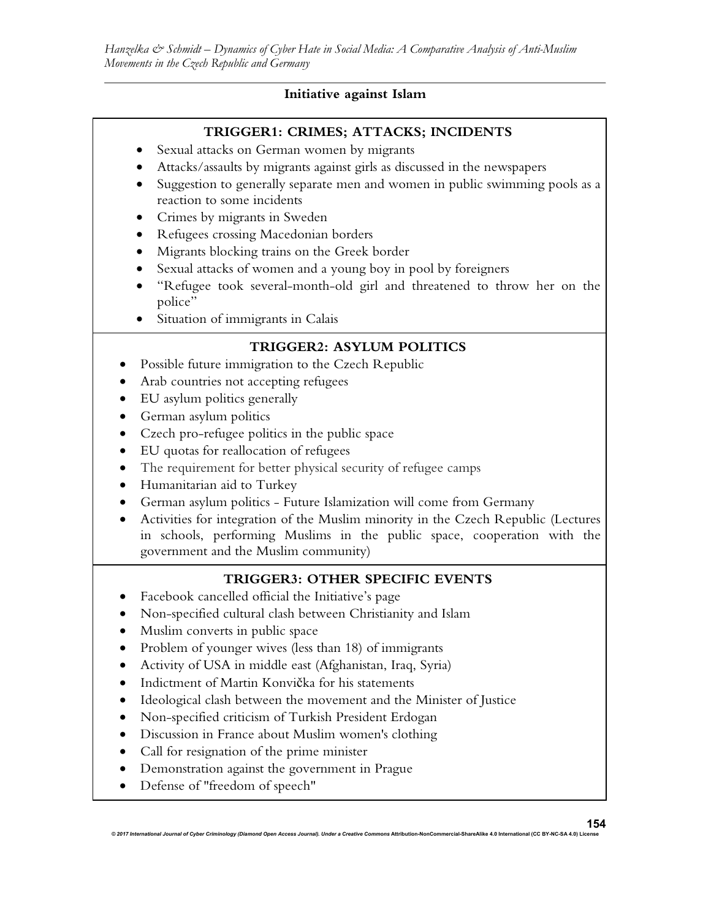# **Initiative against Islam**

# **TRIGGER1: CRIMES; ATTACKS; INCIDENTS**

- Sexual attacks on German women by migrants
- Attacks/assaults by migrants against girls as discussed in the newspapers
- Suggestion to generally separate men and women in public swimming pools as a reaction to some incidents
- Crimes by migrants in Sweden
- Refugees crossing Macedonian borders
- Migrants blocking trains on the Greek border
- Sexual attacks of women and a young boy in pool by foreigners
- "Refugee took several-month-old girl and threatened to throw her on the police"
- Situation of immigrants in Calais

# **TRIGGER2: ASYLUM POLITICS**

- Possible future immigration to the Czech Republic
- Arab countries not accepting refugees
- EU asylum politics generally
- German asylum politics
- Czech pro-refugee politics in the public space
- EU quotas for reallocation of refugees
- The requirement for better physical security of refugee camps
- Humanitarian aid to Turkey
- German asylum politics Future Islamization will come from Germany
- Activities for integration of the Muslim minority in the Czech Republic (Lectures in schools, performing Muslims in the public space, cooperation with the government and the Muslim community)

# **TRIGGER3: OTHER SPECIFIC EVENTS**

- Facebook cancelled official the Initiative's page
- Non-specified cultural clash between Christianity and Islam
- Muslim converts in public space
- Problem of younger wives (less than 18) of immigrants
- Activity of USA in middle east (Afghanistan, Iraq, Syria)
- Indictment of Martin Konvička for his statements
- Ideological clash between the movement and the Minister of Justice
- Non-specified criticism of Turkish President Erdogan
- Discussion in France about Muslim women's clothing
- Call for resignation of the prime minister
- Demonstration against the government in Prague
- Defense of "freedom of speech"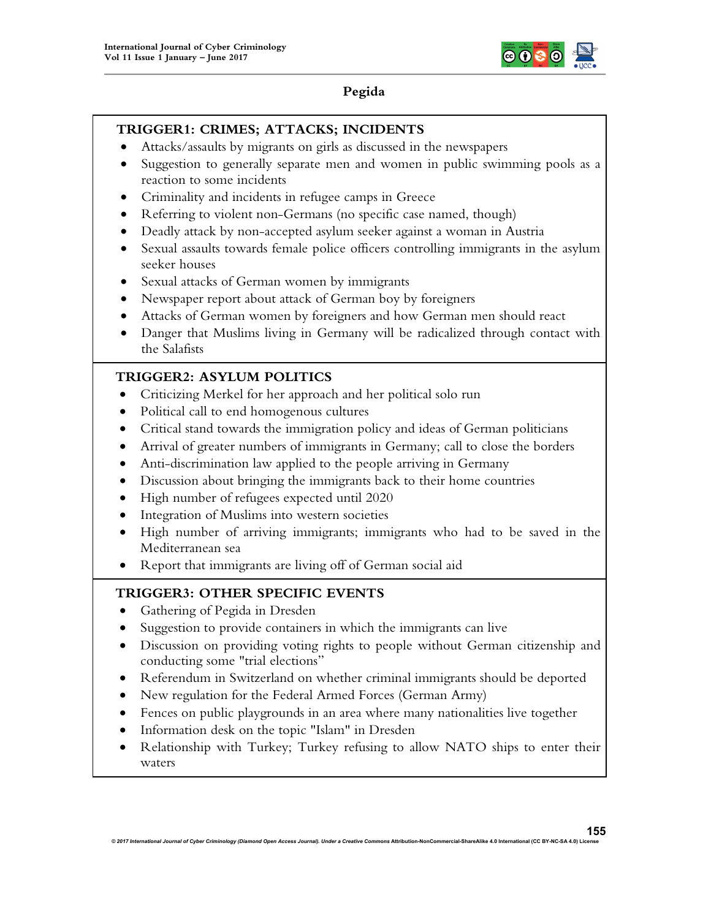

# **Pegida**

## **TRIGGER1: CRIMES; ATTACKS; INCIDENTS**

- Attacks/assaults by migrants on girls as discussed in the newspapers
- Suggestion to generally separate men and women in public swimming pools as a reaction to some incidents
- Criminality and incidents in refugee camps in Greece
- Referring to violent non-Germans (no specific case named, though)
- Deadly attack by non-accepted asylum seeker against a woman in Austria
- Sexual assaults towards female police officers controlling immigrants in the asylum seeker houses
- Sexual attacks of German women by immigrants
- Newspaper report about attack of German boy by foreigners
- Attacks of German women by foreigners and how German men should react
- Danger that Muslims living in Germany will be radicalized through contact with the Salafists

# **TRIGGER2: ASYLUM POLITICS**

- Criticizing Merkel for her approach and her political solo run
- Political call to end homogenous cultures
- Critical stand towards the immigration policy and ideas of German politicians
- Arrival of greater numbers of immigrants in Germany; call to close the borders
- Anti-discrimination law applied to the people arriving in Germany
- Discussion about bringing the immigrants back to their home countries
- High number of refugees expected until 2020
- Integration of Muslims into western societies
- High number of arriving immigrants; immigrants who had to be saved in the Mediterranean sea
- Report that immigrants are living off of German social aid

# **TRIGGER3: OTHER SPECIFIC EVENTS**

- Gathering of Pegida in Dresden
- Suggestion to provide containers in which the immigrants can live
- Discussion on providing voting rights to people without German citizenship and conducting some "trial elections"
- Referendum in Switzerland on whether criminal immigrants should be deported
- New regulation for the Federal Armed Forces (German Army)
- Fences on public playgrounds in an area where many nationalities live together
- Information desk on the topic "Islam" in Dresden
- Relationship with Turkey; Turkey refusing to allow NATO ships to enter their waters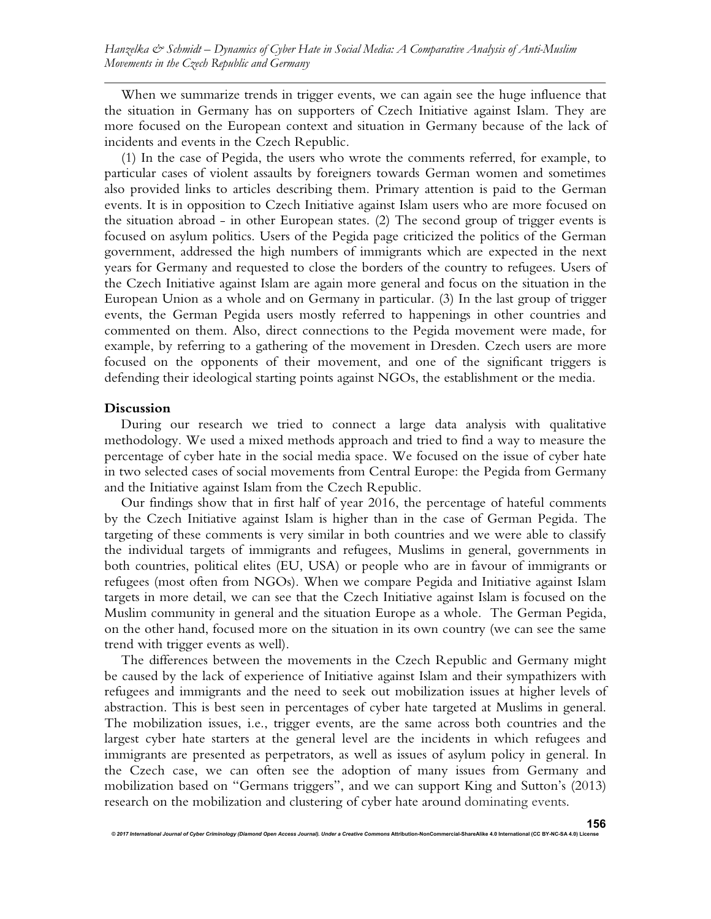When we summarize trends in trigger events, we can again see the huge influence that the situation in Germany has on supporters of Czech Initiative against Islam. They are more focused on the European context and situation in Germany because of the lack of incidents and events in the Czech Republic.

(1) In the case of Pegida, the users who wrote the comments referred, for example, to particular cases of violent assaults by foreigners towards German women and sometimes also provided links to articles describing them. Primary attention is paid to the German events. It is in opposition to Czech Initiative against Islam users who are more focused on the situation abroad - in other European states. (2) The second group of trigger events is focused on asylum politics. Users of the Pegida page criticized the politics of the German government, addressed the high numbers of immigrants which are expected in the next years for Germany and requested to close the borders of the country to refugees. Users of the Czech Initiative against Islam are again more general and focus on the situation in the European Union as a whole and on Germany in particular. (3) In the last group of trigger events, the German Pegida users mostly referred to happenings in other countries and commented on them. Also, direct connections to the Pegida movement were made, for example, by referring to a gathering of the movement in Dresden. Czech users are more focused on the opponents of their movement, and one of the significant triggers is defending their ideological starting points against NGOs, the establishment or the media.

#### **Discussion**

During our research we tried to connect a large data analysis with qualitative methodology. We used a mixed methods approach and tried to find a way to measure the percentage of cyber hate in the social media space. We focused on the issue of cyber hate in two selected cases of social movements from Central Europe: the Pegida from Germany and the Initiative against Islam from the Czech Republic.

Our findings show that in first half of year 2016, the percentage of hateful comments by the Czech Initiative against Islam is higher than in the case of German Pegida. The targeting of these comments is very similar in both countries and we were able to classify the individual targets of immigrants and refugees, Muslims in general, governments in both countries, political elites (EU, USA) or people who are in favour of immigrants or refugees (most often from NGOs). When we compare Pegida and Initiative against Islam targets in more detail, we can see that the Czech Initiative against Islam is focused on the Muslim community in general and the situation Europe as a whole. The German Pegida, on the other hand, focused more on the situation in its own country (we can see the same trend with trigger events as well).

The differences between the movements in the Czech Republic and Germany might be caused by the lack of experience of Initiative against Islam and their sympathizers with refugees and immigrants and the need to seek out mobilization issues at higher levels of abstraction. This is best seen in percentages of cyber hate targeted at Muslims in general. The mobilization issues, i.e., trigger events, are the same across both countries and the largest cyber hate starters at the general level are the incidents in which refugees and immigrants are presented as perpetrators, as well as issues of asylum policy in general. In the Czech case, we can often see the adoption of many issues from Germany and mobilization based on "Germans triggers", and we can support King and Sutton's (2013) research on the mobilization and clustering of cyber hate around dominating events.

*© 2017 International Journal of Cyber Criminology (Diamond Open Access Journal). Under a Creative Commons* **Attribution-NonCommercial-ShareAlike 4.0 International (CC BY-NC-SA 4.0) License**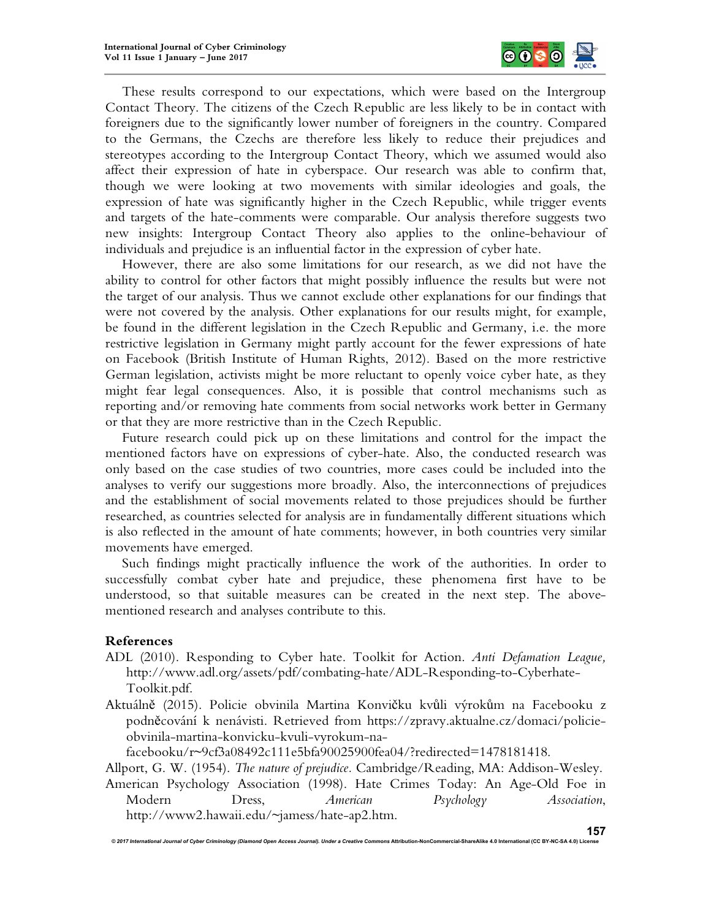

These results correspond to our expectations, which were based on the Intergroup Contact Theory. The citizens of the Czech Republic are less likely to be in contact with foreigners due to the significantly lower number of foreigners in the country. Compared to the Germans, the Czechs are therefore less likely to reduce their prejudices and stereotypes according to the Intergroup Contact Theory, which we assumed would also affect their expression of hate in cyberspace. Our research was able to confirm that, though we were looking at two movements with similar ideologies and goals, the expression of hate was significantly higher in the Czech Republic, while trigger events and targets of the hate-comments were comparable. Our analysis therefore suggests two new insights: Intergroup Contact Theory also applies to the online-behaviour of individuals and prejudice is an influential factor in the expression of cyber hate.

However, there are also some limitations for our research, as we did not have the ability to control for other factors that might possibly influence the results but were not the target of our analysis. Thus we cannot exclude other explanations for our findings that were not covered by the analysis. Other explanations for our results might, for example, be found in the different legislation in the Czech Republic and Germany, i.e. the more restrictive legislation in Germany might partly account for the fewer expressions of hate on Facebook (British Institute of Human Rights, 2012). Based on the more restrictive German legislation, activists might be more reluctant to openly voice cyber hate, as they might fear legal consequences. Also, it is possible that control mechanisms such as reporting and/or removing hate comments from social networks work better in Germany or that they are more restrictive than in the Czech Republic.

Future research could pick up on these limitations and control for the impact the mentioned factors have on expressions of cyber-hate. Also, the conducted research was only based on the case studies of two countries, more cases could be included into the analyses to verify our suggestions more broadly. Also, the interconnections of prejudices and the establishment of social movements related to those prejudices should be further researched, as countries selected for analysis are in fundamentally different situations which is also reflected in the amount of hate comments; however, in both countries very similar movements have emerged.

Such findings might practically influence the work of the authorities. In order to successfully combat cyber hate and prejudice, these phenomena first have to be understood, so that suitable measures can be created in the next step. The abovementioned research and analyses contribute to this.

## **References**

- ADL (2010). Responding to Cyber hate. Toolkit for Action. *Anti Defamation League,* http://www.adl.org/assets/pdf/combating-hate/ADL-Responding-to-Cyberhate-Toolkit.pdf.
- Aktuálně (2015). Policie obvinila Martina Konvičku kvůli výrokům na Facebooku z podněcování k nenávisti. Retrieved from https://zpravy.aktualne.cz/domaci/policieobvinila-martina-konvicku-kvuli-vyrokum-na-

facebooku/r~9cf3a08492c111e5bfa90025900fea04/?redirected=1478181418.

Allport, G. W. (1954). *The nature of prejudice.* Cambridge/Reading, MA: Addison-Wesley.

American Psychology Association (1998). Hate Crimes Today: An Age-Old Foe in Modern Dress, *American Psychology Association*, http://www2.hawaii.edu/~jamess/hate-ap2.htm.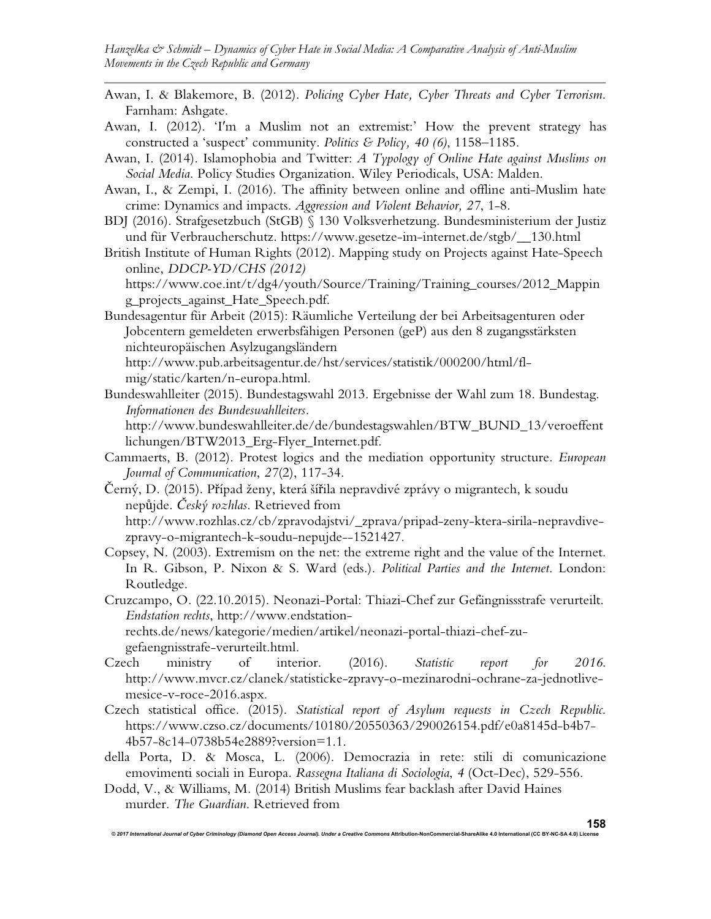- Awan, I. & Blakemore, B. (2012). *Policing Cyber Hate, Cyber Threats and Cyber Terrorism*. Farnham: Ashgate.
- Awan, I. (2012). 'I′m a Muslim not an extremist:' How the prevent strategy has constructed a 'suspect' community. *Politics & Policy, 40 (6)*, 1158–1185.
- Awan, I. (2014). Islamophobia and Twitter: *A Typology of Online Hate against Muslims on Social Media*. Policy Studies Organization. Wiley Periodicals, USA: Malden.
- Awan, I., & Zempi, I. (2016). The affinity between online and offline anti-Muslim hate crime: Dynamics and impacts. *Aggression and Violent Behavior, 27*, 1-8.
- BDJ (2016). Strafgesetzbuch (StGB) § 130 Volksverhetzung. Bundesministerium der Justiz und für Verbraucherschutz. https://www.gesetze-im-internet.de/stgb/\_\_130.html
- British Institute of Human Rights (2012). Mapping study on Projects against Hate-Speech online, *DDCP-YD/CHS (2012)*

https://www.coe.int/t/dg4/youth/Source/Training/Training\_courses/2012\_Mappin g\_projects\_against\_Hate\_Speech.pdf.

Bundesagentur für Arbeit (2015): Räumliche Verteilung der bei Arbeitsagenturen oder Jobcentern gemeldeten erwerbsfähigen Personen (geP) aus den 8 zugangsstärksten nichteuropäischen Asylzugangsländern

http://www.pub.arbeitsagentur.de/hst/services/statistik/000200/html/flmig/static/karten/n-europa.html.

Bundeswahlleiter (2015). Bundestagswahl 2013. Ergebnisse der Wahl zum 18. Bundestag. *Informationen des Bundeswahlleiters.* http://www.bundeswahlleiter.de/de/bundestagswahlen/BTW\_BUND\_13/veroeffent

lichungen/BTW2013\_Erg-Flyer\_Internet.pdf. Cammaerts, B. (2012). Protest logics and the mediation opportunity structure. *European* 

*Journal of Communication*, *27*(2), 117-34.

Černý, D. (2015). Případ ženy, která šířila nepravdivé zprávy o migrantech, k soudu nepůjde. *Český rozhlas*. Retrieved from http://www.rozhlas.cz/cb/zpravodajstvi/\_zprava/pripad-zeny-ktera-sirila-nepravdivezpravy-o-migrantech-k-soudu-nepujde--1521427.

Copsey, N. (2003). Extremism on the net: the extreme right and the value of the Internet. In R. Gibson, P. Nixon & S. Ward (eds.). *Political Parties and the Internet*. London: Routledge.

Cruzcampo, O. (22.10.2015). Neonazi-Portal: Thiazi-Chef zur Gefängnissstrafe verurteilt. *Endstation rechts*, http://www.endstationrechts.de/news/kategorie/medien/artikel/neonazi-portal-thiazi-chef-zu-

gefaengnisstrafe-verurteilt.html.

- Czech ministry of interior. (2016). *Statistic report for 2016*. http://www.mvcr.cz/clanek/statisticke-zpravy-o-mezinarodni-ochrane-za-jednotlivemesice-v-roce-2016.aspx.
- Czech statistical office. (2015). *Statistical report of Asylum requests in Czech Republic*. https://www.czso.cz/documents/10180/20550363/290026154.pdf/e0a8145d-b4b7- 4b57-8c14-0738b54e2889?version=1.1.
- della Porta, D. & Mosca, L. (2006). Democrazia in rete: stili di comunicazione emovimenti sociali in Europa. *Rassegna Italiana di Sociologia*, *4* (Oct-Dec), 529-556.
- Dodd, V., & Williams, M. (2014) British Muslims fear backlash after David Haines murder. *The Guardian*. Retrieved from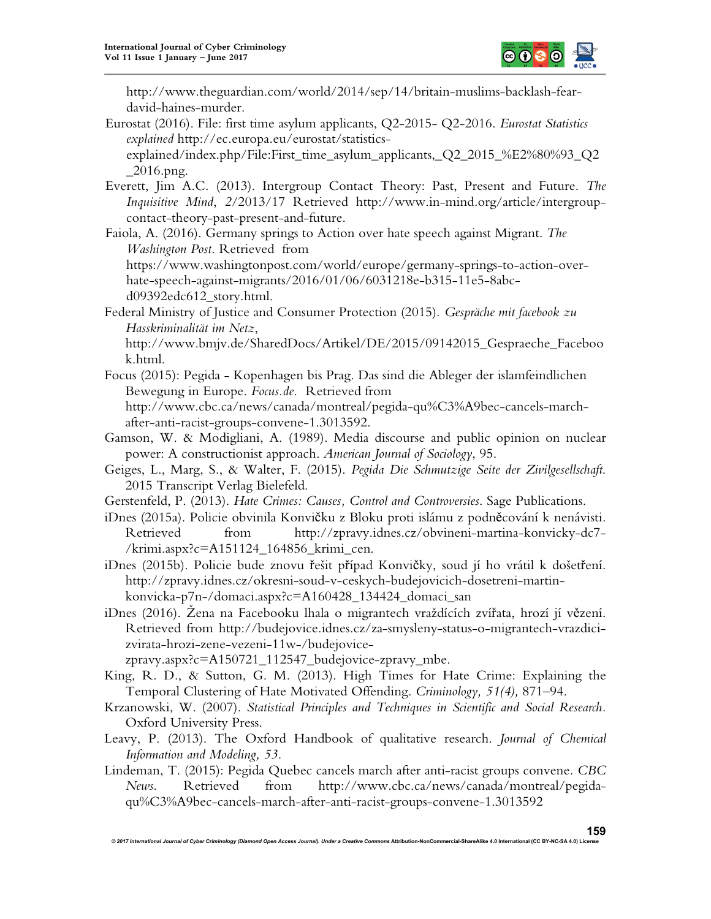

http://www.theguardian.com/world/2014/sep/14/britain-muslims-backlash-feardavid-haines-murder.

- Eurostat (2016). File: first time asylum applicants, Q2-2015- Q2-2016. *Eurostat Statistics explained* http://ec.europa.eu/eurostat/statisticsexplained/index.php/File:First\_time\_asylum\_applicants,\_Q2\_2015\_%E2%80%93\_Q2  $\_2016$ .png.
- Everett, Jim A.C. (2013). Intergroup Contact Theory: Past, Present and Future. *The Inquisitive Mind*, *2*/2013/17 Retrieved http://www.in-mind.org/article/intergroupcontact-theory-past-present-and-future.

Faiola, A. (2016). Germany springs to Action over hate speech against Migrant. *The Washington Post*. Retrieved from

https://www.washingtonpost.com/world/europe/germany-springs-to-action-overhate-speech-against-migrants/2016/01/06/6031218e-b315-11e5-8abcd09392edc612\_story.html.

Federal Ministry of Justice and Consumer Protection (2015)*. Gespräche mit facebook zu Hasskriminalität im Netz*,

http://www.bmjv.de/SharedDocs/Artikel/DE/2015/09142015\_Gespraeche\_Faceboo k.html.

- Focus (2015): Pegida Kopenhagen bis Prag. Das sind die Ableger der islamfeindlichen Bewegung in Europe. *Focus.de.* Retrieved from http://www.cbc.ca/news/canada/montreal/pegida-qu%C3%A9bec-cancels-marchafter-anti-racist-groups-convene-1.3013592.
- Gamson, W. & Modigliani, A. (1989). Media discourse and public opinion on nuclear power: A constructionist approach. *American Journal of Sociology*, 95.
- Geiges, L., Marg, S., & Walter, F. (2015). *Pegida Die Schmutzige Seite der Zivilgesellschaft*. 2015 Transcript Verlag Bielefeld.
- Gerstenfeld, P. (2013). *Hate Crimes: Causes, Control and Controversies*. Sage Publications.
- iDnes (2015a). Policie obvinila Konvičku z Bloku proti islámu z podněcování k nenávisti. Retrieved from http://zpravy.idnes.cz/obvineni-martina-konvicky-dc7- /krimi.aspx?c=A151124\_164856\_krimi\_cen.
- iDnes (2015b). Policie bude znovu řešit případ Konvičky, soud jí ho vrátil k došetření. http://zpravy.idnes.cz/okresni-soud-v-ceskych-budejovicich-dosetreni-martinkonvicka-p7n-/domaci.aspx?c=A160428\_134424\_domaci\_san
- iDnes (2016). Žena na Facebooku lhala o migrantech vraždících zvířata, hrozí jí vězení. Retrieved from http://budejovice.idnes.cz/za-smysleny-status-o-migrantech-vrazdicizvirata-hrozi-zene-vezeni-11w-/budejovice-

zpravy.aspx?c=A150721\_112547\_budejovice-zpravy\_mbe.

- King, R. D., & Sutton, G. M. (2013). High Times for Hate Crime: Explaining the Temporal Clustering of Hate Motivated Offending. *Criminology, 51(4),* 871–94.
- Krzanowski, W. (2007). *Statistical Principles and Techniques in Scientific and Social Research.* Oxford University Press.
- Leavy, P. (2013). The Oxford Handbook of qualitative research. *Journal of Chemical Information and Modeling, 53.*
- Lindeman, T. (2015): Pegida Quebec cancels march after anti-racist groups convene. *CBC News*. Retrieved from http://www.cbc.ca/news/canada/montreal/pegidaqu%C3%A9bec-cancels-march-after-anti-racist-groups-convene-1.3013592